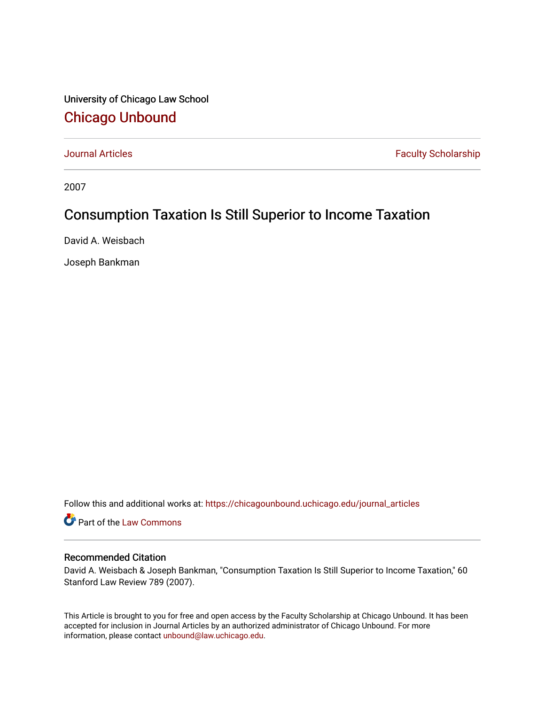University of Chicago Law School [Chicago Unbound](https://chicagounbound.uchicago.edu/)

[Journal Articles](https://chicagounbound.uchicago.edu/journal_articles) **Faculty Scholarship Faculty Scholarship** 

2007

## Consumption Taxation Is Still Superior to Income Taxation

David A. Weisbach

Joseph Bankman

Follow this and additional works at: [https://chicagounbound.uchicago.edu/journal\\_articles](https://chicagounbound.uchicago.edu/journal_articles?utm_source=chicagounbound.uchicago.edu%2Fjournal_articles%2F5031&utm_medium=PDF&utm_campaign=PDFCoverPages) 

Part of the [Law Commons](http://network.bepress.com/hgg/discipline/578?utm_source=chicagounbound.uchicago.edu%2Fjournal_articles%2F5031&utm_medium=PDF&utm_campaign=PDFCoverPages)

### Recommended Citation

David A. Weisbach & Joseph Bankman, "Consumption Taxation Is Still Superior to Income Taxation," 60 Stanford Law Review 789 (2007).

This Article is brought to you for free and open access by the Faculty Scholarship at Chicago Unbound. It has been accepted for inclusion in Journal Articles by an authorized administrator of Chicago Unbound. For more information, please contact [unbound@law.uchicago.edu](mailto:unbound@law.uchicago.edu).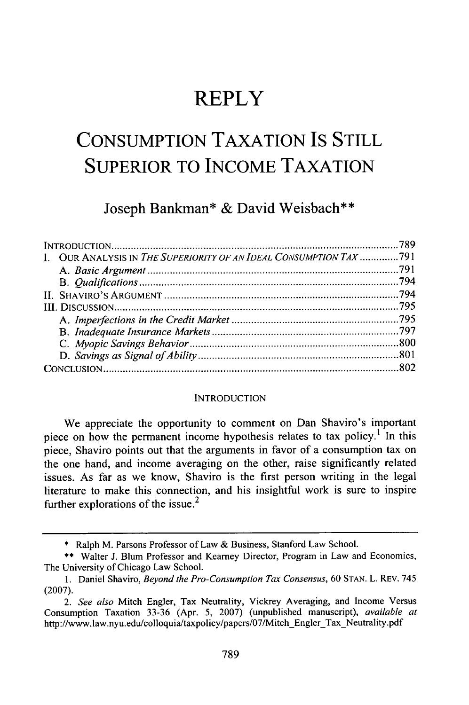# **REPLY**

# **CONSUMPTION TAXATION IS STILL SUPERIOR TO INCOME TAXATION**

Joseph Bankman\* **&** David Weisbach\*\*

| I. OUR ANALYSIS IN THE SUPERIORITY OF AN IDEAL CONSUMPTION TAX 791 |  |
|--------------------------------------------------------------------|--|
|                                                                    |  |
|                                                                    |  |
|                                                                    |  |
|                                                                    |  |
|                                                                    |  |
|                                                                    |  |
|                                                                    |  |
|                                                                    |  |
|                                                                    |  |
|                                                                    |  |

#### **INTRODUCTION**

We appreciate the opportunity to comment on Dan Shaviro's important piece on how the permanent income hypothesis relates to tax policy.<sup>1</sup> In this piece, Shaviro points out that the arguments in favor of a consumption tax on the one hand, and income averaging on the other, raise significantly related issues. As far as we know, Shaviro is the first person writing in the legal literature to make this connection, and his insightful work is sure to inspire further explorations of the issue.<sup>2</sup>

<sup>\*</sup> Ralph M. Parsons Professor of Law & Business, Stanford Law School.

<sup>\*\*</sup> Walter J. Blum Professor and Kearney Director, Program in Law and Economics, The University of Chicago Law School.

<sup>1.</sup> Daniel Shaviro, *Beyond the Pro-Consumption Tax Consensus,* 60 STAN. L. REV. 745 (2007).

*<sup>2.</sup> See also* Mitch Engler, Tax Neutrality, Vickrey Averaging, and Income Versus Consumption Taxation 33-36 (Apr. 5, 2007) (unpublished manuscript), *available at* http://www.law.nyu.edu/colloquia/taxpolicy/papers/07/Mitch\_Engler\_Tax\_Neutrality.pdf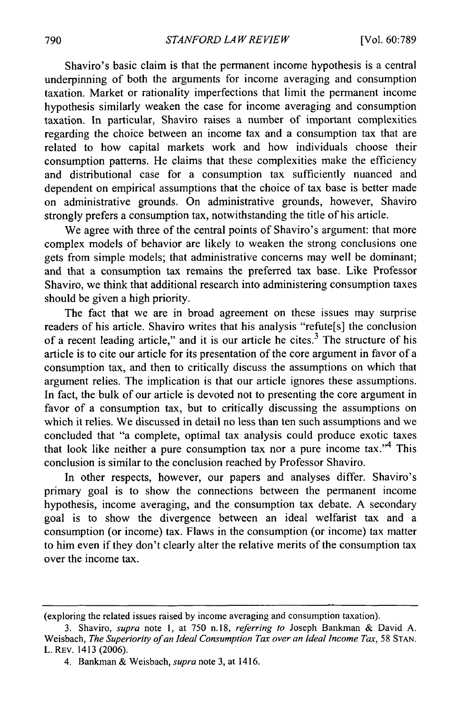Shaviro's basic claim is that the permanent income hypothesis is a central underpinning of both the arguments for income averaging and consumption taxation. Market or rationality imperfections that limit the permanent income hypothesis similarly weaken the case for income averaging and consumption taxation. In particular, Shaviro raises a number of important complexities regarding the choice between an income tax and a consumption tax that are related to how capital markets work and how individuals choose their consumption patterns. He claims that these complexities make the efficiency and distributional case for a consumption tax sufficiently nuanced and dependent on empirical assumptions that the choice of tax base is better made on administrative grounds. On administrative grounds, however, Shaviro strongly prefers a consumption tax, notwithstanding the title of his article.

We agree with three of the central points of Shaviro's argument: that more complex models of behavior are likely to weaken the strong conclusions one gets from simple models; that administrative concerns may well be dominant; and that a consumption tax remains the preferred tax base. Like Professor Shaviro, we think that additional research into administering consumption taxes should be given a high priority.

The fact that we are in broad agreement on these issues may surprise readers of his article. Shaviro writes that his analysis "refute[s] the conclusion of a recent leading article," and it is our article he cites. $3$  The structure of his article is to cite our article for its presentation of the core argument in favor of a consumption tax, and then to critically discuss the assumptions on which that argument relies. The implication is that our article ignores these assumptions. In fact, the bulk of our article is devoted not to presenting the core argument in favor of a consumption tax, but to critically discussing the assumptions on which it relies. We discussed in detail no less than ten such assumptions and we concluded that "a complete, optimal tax analysis could produce exotic taxes that look like neither a pure consumption tax nor a pure income tax.<sup> $4$ </sup> This conclusion is similar to the conclusion reached by Professor Shaviro.

In other respects, however, our papers and analyses differ. Shaviro's primary goal is to show the connections between the permanent income hypothesis, income averaging, and the consumption tax debate. A secondary goal is to show the divergence between an ideal welfarist tax and a consumption (or income) tax. Flaws in the consumption (or income) tax matter to him even if they don't clearly alter the relative merits of the consumption tax over the income tax.

<sup>(</sup>exploring the related issues raised by income averaging and consumption taxation).

<sup>3.</sup> Shaviro, *supra* note 1, at 750 **n.18,** *referring to* Joseph Bankman & David A. Weisbach, *The Superiority of an Ideal Consumption Tax over an Ideal Income Tax,* 58 STAN. L. REv. 1413 (2006).

<sup>4.</sup> Bankman & Weisbach, *supra* note 3, at 1416.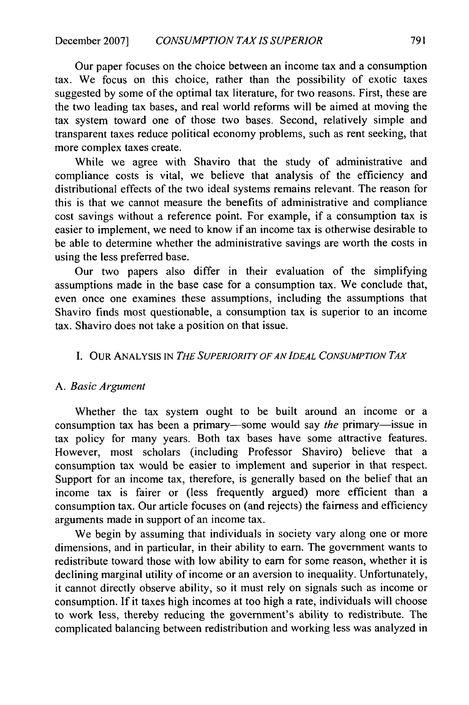Our paper focuses on the choice between an income tax and a consumption tax. We focus on this choice, rather than the possibility of exotic taxes suggested by some of the optimal tax literature, for two reasons. First, these are the two leading tax bases, and real world reforms will be aimed at moving the tax system toward one of those two bases. Second, relatively simple and transparent taxes reduce political economy problems, such as rent seeking, that more complex taxes create.

While we agree with Shaviro that the study of administrative and compliance costs is vital, we believe that analysis of the efficiency and distributional effects of the two ideal systems remains relevant. The reason for this is that we cannot measure the benefits of administrative and compliance cost savings without a reference point. For example, if a consumption tax is easier to implement, we need to know if an income tax is otherwise desirable to be able to determine whether the administrative savings are worth the costs in using the less preferred base.

Our two papers also differ in their evaluation of the simplifying assumptions made in the base case for a consumption tax. We conclude that, even once one examines these assumptions, including the assumptions that Shaviro finds most questionable, a consumption tax is superior to an income tax. Shaviro does not take a position on that issue.

#### I. OUR ANALYSIS IN *THE SUPERIORITY OF AN IDEAL CONSUMPTION TAx*

#### *A. Basic Argument*

Whether the tax system ought to be built around an income or a consumption tax has been a primary—some would say *the* primary—issue in tax policy for many years. Both tax bases have some attractive features. However, most scholars (including Professor Shaviro) believe that a consumption tax would be easier to implement and superior in that respect. Support for an income tax, therefore, is generally based on the belief that an income tax is fairer or (less frequently argued) more efficient than a consumption tax. Our article focuses on (and rejects) the fairness and efficiency arguments made in support of an income tax.

We begin by assuming that individuals in society vary along one or more dimensions, and in particular, in their ability to earn. The government wants to redistribute toward those with low ability to earn for some reason, whether it is declining marginal utility of income or an aversion to inequality. Unfortunately, it cannot directly observe ability, so it must rely on signals such as income or consumption. If it taxes high incomes at too high a rate, individuals will choose to work less, thereby reducing the government's ability to redistribute. The complicated balancing between redistribution and working less was analyzed in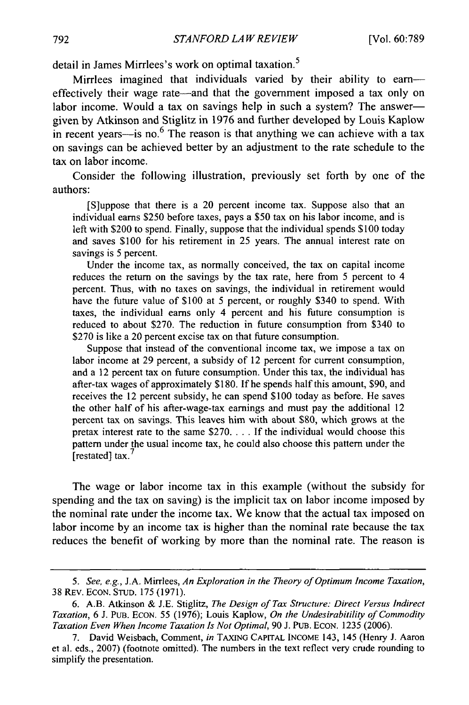detail in James Mirrlees's work on optimal taxation.<sup>5</sup>

Mirrlees imagined that individuals varied by their ability to earneffectively their wage rate—and that the government imposed a tax only on labor income. Would a tax on savings help in such a system? The answergiven by Atkinson and Stiglitz in 1976 and further developed by Louis Kaplow in recent years-is no.<sup>6</sup> The reason is that anything we can achieve with a tax on savings can be achieved better by an adjustment to the rate schedule to the tax on labor income.

Consider the following illustration, previously set forth by one of the authors:

[S]uppose that there is a 20 percent income tax. Suppose also that an individual earns \$250 before taxes, pays a \$50 tax on his labor income, and is left with \$200 to spend. Finally, suppose that the individual spends \$100 today and saves \$100 for his retirement in 25 years. The annual interest rate on savings is 5 percent.

Under the income tax, as normally conceived, the tax on capital income reduces the return on the savings by the tax rate, here from 5 percent to 4 percent. Thus, with no taxes on savings, the individual in retirement would have the future value of \$100 at 5 percent, or roughly \$340 to spend. With taxes, the individual earns only 4 percent and his future consumption is reduced to about \$270. The reduction in future consumption from \$340 to \$270 is like a 20 percent excise tax on that future consumption.

Suppose that instead of the conventional income tax, we impose a tax on labor income at 29 percent, a subsidy of 12 percent for current consumption, and a 12 percent tax on future consumption. Under this tax, the individual has after-tax wages of approximately \$180. If he spends half this amount, \$90, and receives the 12 percent subsidy, he can spend \$100 today as before. He saves the other half of his after-wage-tax earnings and must pay the additional 12 percent tax on savings. This leaves him with about \$80, which grows at the pretax interest rate to the same \$270 **....** If the individual would choose this pattern under the usual income tax, he could also choose this pattern under the [restated] tax. $'$ 

The wage or labor income tax in this example (without the subsidy for spending and the tax on saving) is the implicit tax on labor income imposed by the nominal rate under the income tax. We know that the actual tax imposed on labor income by an income tax is higher than the nominal rate because the tax reduces the benefit of working by more than the nominal rate. The reason is

*<sup>5.</sup> See, e.g.,* **J.A.** Mirrlees, *An Exploration in the Theory of Optimum Income Taxation,* 38 REv. ECON. STUD. 175 (1971).

<sup>6.</sup> A.B. Atkinson & J.E. Stiglitz, *The Design of Tax Structure: Direct Versus Indirect Taxation,* 6 J. PuB. ECON. 55 (1976); Louis Kaplow, *On the Undesirabitility of Commodity Taxation Even When Income Taxation Is Not Optimal,* 90 J. PuB. ECON. 1235 (2006).

<sup>7.</sup> David Weisbach, Comment, *in* TAXING CAPITAL INCOME 143, 145 (Henry **J.** Aaron et al. eds., 2007) (footnote omitted). The numbers in the text reflect very crude rounding to simplify the presentation.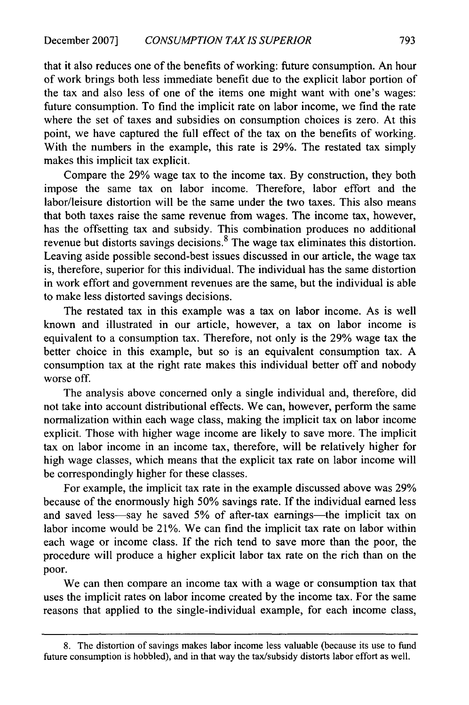that it also reduces one of the benefits of working: future consumption. An hour of work brings both less immediate benefit due to the explicit labor portion of the tax and also less of one of the items one might want with one's wages: future consumption. To find the implicit rate on labor income, we find the rate where the set of taxes and subsidies on consumption choices is zero. At this point, we have captured the full effect of the tax on the benefits of working. With the numbers in the example, this rate is 29%. The restated tax simply makes this implicit tax explicit.

Compare the 29% wage tax to the income tax. By construction, they both impose the same tax on labor income. Therefore, labor effort and the labor/leisure distortion will be the same under the two taxes. This also means that both taxes raise the same revenue from wages. The income tax, however, has the offsetting tax and subsidy. This combination produces no additional revenue but distorts savings decisions. 8 The wage tax eliminates this distortion. Leaving aside possible second-best issues discussed in our article, the wage tax is, therefore, superior for this individual. The individual has the same distortion in work effort and government revenues are the same, but the individual is able to make less distorted savings decisions.

The restated tax in this example was a tax on labor income. As is well known and illustrated in our article, however, a tax on labor income is equivalent to a consumption tax. Therefore, not only is the 29% wage tax the better choice in this example, but so is an equivalent consumption tax. A consumption tax at the right rate makes this individual better off and nobody worse off.

The analysis above concerned only a single individual and, therefore, did not take into account distributional effects. We can, however, perform the same normalization within each wage class, making the implicit tax on labor income explicit. Those with higher wage income are likely to save more. The implicit tax on labor income in an income tax, therefore, will be relatively higher for high wage classes, which means that the explicit tax rate on labor income will be correspondingly higher for these classes.

For example, the implicit tax rate in the example discussed above was 29% because of the enormously high 50% savings rate. If the individual earned less and saved less—say he saved 5% of after-tax earnings—the implicit tax on labor income would be 21%. We can find the implicit tax rate on labor within each wage or income class. If the rich tend to save more than the poor, the procedure will produce a higher explicit labor tax rate on the rich than on the poor.

We can then compare an income tax with a wage or consumption tax that uses the implicit rates on labor income created by the income tax. For the same reasons that applied to the single-individual example, for each income class,

<sup>8.</sup> The distortion of savings makes labor income less valuable (because its use to fund future consumption is hobbled), and in that way the tax/subsidy distorts labor effort as well.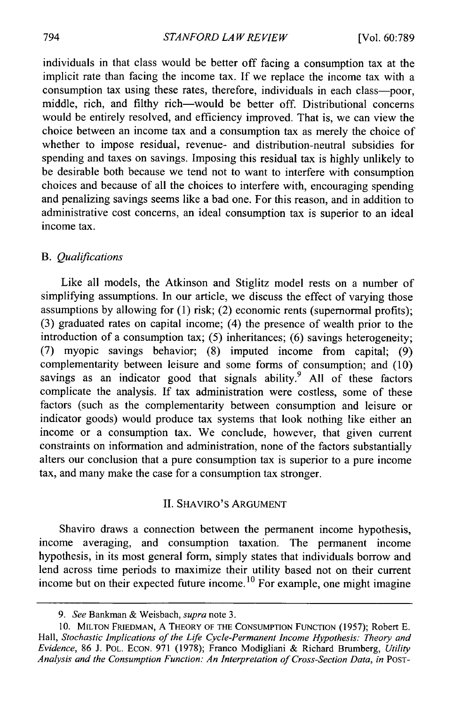individuals in that class would be better off facing a consumption tax at the implicit rate than facing the income tax. If we replace the income tax with a consumption tax using these rates, therefore, individuals in each class-poor, middle, rich, and filthy rich-would be better off. Distributional concerns would be entirely resolved, and efficiency improved. That is, we can view the choice between an income tax and a consumption tax as merely the choice of whether to impose residual, revenue- and distribution-neutral subsidies for spending and taxes on savings. Imposing this residual tax is highly unlikely to be desirable both because we tend not to want to interfere with consumption choices and because of all the choices to interfere with, encouraging spending and penalizing savings seems like a bad one. For this reason, and in addition to administrative cost concerns, an ideal consumption tax is superior to an ideal income tax.

#### *B. Qualifications*

Like all models, the Atkinson and Stiglitz model rests on a number of simplifying assumptions. In our article, we discuss the effect of varying those assumptions by allowing for (1) risk; (2) economic rents (supernormal profits); (3) graduated rates on capital income; (4) the presence of wealth prior to the introduction of a consumption tax; (5) inheritances; (6) savings heterogeneity; (7) myopic savings behavior; (8) imputed income from capital; (9) complementarity between leisure and some forms of consumption; and (10) savings as an indicator good that signals ability.<sup>9</sup> All of these factors complicate the analysis. If tax administration were costless, some of these factors (such as the complementarity between consumption and leisure or indicator goods) would produce tax systems that look nothing like either an income or a consumption tax. We conclude, however, that given current constraints on information and administration, none of the factors substantially alters our conclusion that a pure consumption tax is superior to a pure income tax, and many make the case for a consumption tax stronger.

#### II. SHAVIRO'S ARGUMENT

Shaviro draws a connection between the permanent income hypothesis, income averaging, and consumption taxation. The permanent income hypothesis, in its most general form, simply states that individuals borrow and lend across time periods to maximize their utility based not on their current income but on their expected future income.<sup>10</sup> For example, one might imagine

*<sup>9.</sup> See* Bankman & Weisbach, *supra* note 3.

<sup>10.</sup> **MILTON** FRIEDMAN, A THEORY OF THE CONSUMPTION FUNCTION (1957); Robert **E.** Hall, *Stochastic Implications of the Life Cycle-Permanent Income Hypothesis: Theory and Evidence,* 86 J. POL. ECON. 971 (1978); Franco Modigliani & Richard Brumberg, *Utility* Analysis and the Consumption Function: An Interpretation of Cross-Section Data, in POST-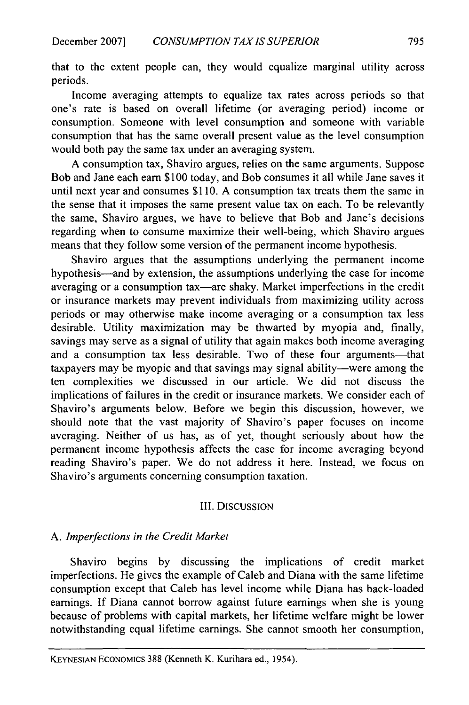that to the extent people can, they would equalize marginal utility across periods.

Income averaging attempts to equalize tax rates across periods so that one's rate is based on overall lifetime (or averaging period) income or consumption. Someone with level consumption and someone with variable consumption that has the same overall present value as the level consumption would both pay the same tax under an averaging system.

A consumption tax, Shaviro argues, relies on the same arguments. Suppose Bob and Jane each earn \$100 today, and Bob consumes it all while Jane saves it until next year and consumes \$110. A consumption tax treats them the same in the sense that it imposes the same present value tax on each. To be relevantly the same, Shaviro argues, we have to believe that Bob and Jane's decisions regarding when to consume maximize their well-being, which Shaviro argues means that they follow some version of the permanent income hypothesis.

Shaviro argues that the assumptions underlying the permanent income hypothesis-and by extension, the assumptions underlying the case for income averaging or a consumption tax—are shaky. Market imperfections in the credit or insurance markets may prevent individuals from maximizing utility across periods or may otherwise make income averaging or a consumption tax less desirable. Utility maximization may be thwarted by myopia and, finally, savings may serve as a signal of utility that again makes both income averaging and a consumption tax less desirable. Two of these four arguments-that taxpayers may be myopic and that savings may signal ability—were among the ten complexities we discussed in our article. We did not discuss the implications of failures in the credit or insurance markets. We consider each of Shaviro's arguments below. Before we begin this discussion, however, we should note that the vast majority of Shaviro's paper focuses on income averaging. Neither of us has, as of yet, thought seriously about how the permanent income hypothesis affects the case for income averaging beyond reading Shaviro's paper. We do not address it here. Instead, we focus on Shaviro's arguments concerning consumption taxation.

#### III. DISCUSSION

### *A. Imperfections in the Credit Market*

Shaviro begins by discussing the implications of credit market imperfections. He gives the example of Caleb and Diana with the same lifetime consumption except that Caleb has level income while Diana has back-loaded earnings. If Diana cannot borrow against future earnings when she is young because of problems with capital markets, her lifetime welfare might be lower notwithstanding equal lifetime earnings. She cannot smooth her consumption,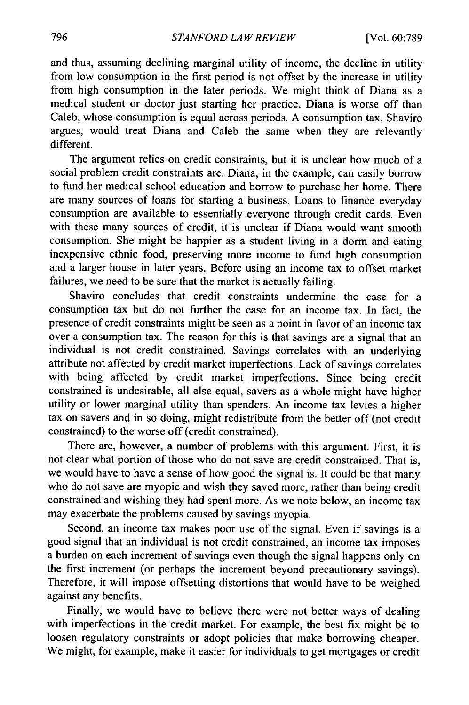and thus, assuming declining marginal utility of income, the decline in utility from low consumption in the first period is not offset by the increase in utility from high consumption in the later periods. We might think of Diana as a medical student or doctor just starting her practice. Diana is worse off than Caleb, whose consumption is equal across periods. A consumption tax, Shaviro argues, would treat Diana and Caleb the same when they are relevantly different.

The argument relies on credit constraints, but it is unclear how much of a social problem credit constraints are. Diana, in the example, can easily borrow to fund her medical school education and borrow to purchase her home. There are many sources of loans for starting a business. Loans to finance everyday consumption are available to essentially everyone through credit cards. Even with these many sources of credit, it is unclear if Diana would want smooth consumption. She might be happier as a student living in a dorm and eating inexpensive ethnic food, preserving more income to fund high consumption and a larger house in later years. Before using an income tax to offset market failures, we need to be sure that the market is actually failing.

Shaviro concludes that credit constraints undermine the case for a consumption tax but do not further the case for an income tax. In fact, the presence of credit constraints might be seen as a point in favor of an income tax over a consumption tax. The reason for this is that savings are a signal that an individual is not credit constrained. Savings correlates with an underlying attribute not affected by credit market imperfections. Lack of savings correlates with being affected by credit market imperfections. Since being credit constrained is undesirable, all else equal, savers as a whole might have higher utility or lower marginal utility than spenders. An income tax levies a higher tax on savers and in so doing, might redistribute from the better off (not credit constrained) to the worse off (credit constrained).

There are, however, a number of problems with this argument. First, it is not clear what portion of those who do not save are credit constrained. That is, we would have to have a sense of how good the signal is. It could be that many who do not save are myopic and wish they saved more, rather than being credit constrained and wishing they had spent more. As we note below, an income tax may exacerbate the problems caused by savings myopia.

Second, an income tax makes poor use of the signal. Even if savings is a good signal that an individual is not credit constrained, an income tax imposes a burden on each increment of savings even though the signal happens only on the first increment (or perhaps the increment beyond precautionary savings). Therefore, it will impose offsetting distortions that would have to be weighed against any benefits.

Finally, we would have to believe there were not better ways of dealing with imperfections in the credit market. For example, the best fix might be to loosen regulatory constraints or adopt policies that make borrowing cheaper. We might, for example, make it easier for individuals to get mortgages or credit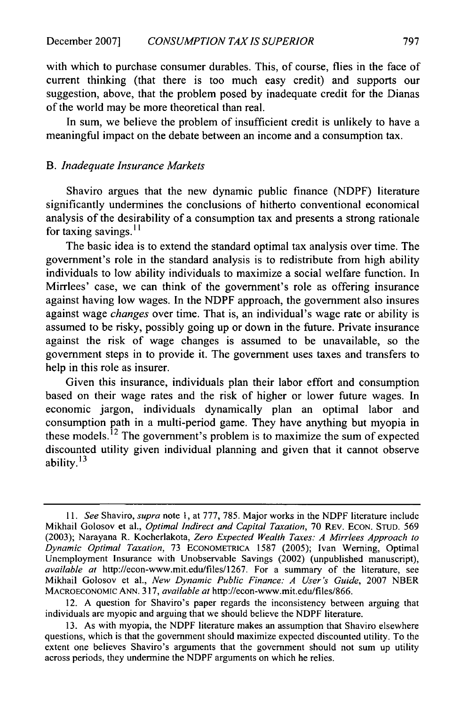with which to purchase consumer durables. This, of course, flies in the face of current thinking (that there is too much easy credit) and supports our suggestion, above, that the problem posed by inadequate credit for the Dianas of the world may be more theoretical than real.

In sum, we believe the problem of insufficient credit is unlikely to have a meaningful impact on the debate between an income and a consumption tax.

#### *B. Inadequate Insurance Markets*

Shaviro argues that the new dynamic public finance (NDPF) literature significantly undermines the conclusions of hitherto conventional economical analysis of the desirability of a consumption tax and presents a strong rationale for taxing savings. **I I**

The basic idea is to extend the standard optimal tax analysis over time. The government's role in the standard analysis is to redistribute from high ability individuals to low ability individuals to maximize a social welfare function. In Mirrlees' case, we can think of the government's role as offering insurance against having low wages. In the NDPF approach, the government also insures against wage *changes* over time. That is, an individual's wage rate or ability is assumed to be risky, possibly going up or down in the future. Private insurance against the risk of wage changes is assumed to be unavailable, so the government steps in to provide it. The government uses taxes and transfers to help in this role as insurer.

Given this insurance, individuals plan their labor effort and consumption based on their wage rates and the risk of higher or lower future wages. In economic jargon, individuals dynamically plan an optimal labor and consumption path in a multi-period game. They have anything but myopia in these models.<sup> $12$ </sup> The government's problem is to maximize the sum of expected discounted utility given individual planning and given that it cannot observe ability. **13**

*<sup>11.</sup> See* Shaviro, *supra* note 1, at 777, 785. Major works in the NDPF literature include Mikhail Golosov et al., *Optimal Indirect and Capital Taxation,* 70 REv. ECON. STUD. 569 (2003); Narayana R. Kocherlakota, *Zero Expected Wealth Taxes: A Mirrlees Approach to Dynamic Optimal Taxation,* 73 ECONOMETRICA 1587 (2005); Ivan Werning, Optimal Unemployment Insurance with Unobservable Savings (2002) (unpublished manuscript), *available at* http://econ-www.mit.edu/files/1267. For a summary of the literature, see Mikhail Golosov et al., *New Dynamic Public Finance: A User's Guide,* 2007 NBER MACROECONOMIc ANN. 317, *available at* http://econ-www.mit.edu/files/866.

<sup>12.</sup> A question for Shaviro's paper regards the inconsistency between arguing that individuals are myopic and arguing that we should believe the NDPF literature.

<sup>13.</sup> As with myopia, the NDPF literature makes an assumption that Shaviro elsewhere questions, which is that the government should maximize expected discounted utility. To the extent one believes Shaviro's arguments that the government should not sum up utility across periods, they undermine the NDPF arguments on which he relies.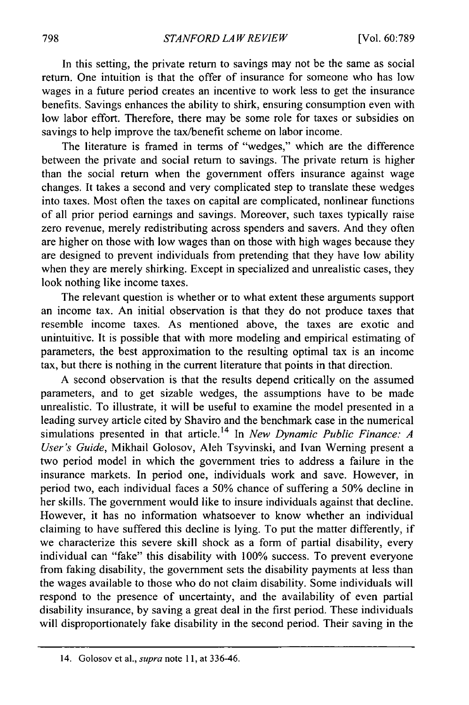In this setting, the private return to savings may not be the same as social return. One intuition is that the offer of insurance for someone who has low wages in a future period creates an incentive to work less to get the insurance benefits. Savings enhances the ability to shirk, ensuring consumption even with low labor effort. Therefore, there may be some role for taxes or subsidies on savings to help improve the tax/benefit scheme on labor income.

The literature is framed in terms of "wedges," which are the difference between the private and social return to savings. The private return is higher than the social return when the government offers insurance against wage changes. It takes a second and very complicated step to translate these wedges into taxes. Most often the taxes on capital are complicated, nonlinear functions of all prior period earnings and savings. Moreover, such taxes typically raise zero revenue, merely redistributing across spenders and savers. And they often are higher on those with low wages than on those with high wages because they are designed to prevent individuals from pretending that they have low ability when they are merely shirking. Except in specialized and unrealistic cases, they look nothing like income taxes.

The relevant question is whether or to what extent these arguments support an income tax. An initial observation is that they do not produce taxes that resemble income taxes. As mentioned above, the taxes are exotic and unintuitive. It is possible that with more modeling and empirical estimating of parameters, the best approximation to the resulting optimal tax is an income tax, but there is nothing in the current literature that points in that direction.

A second observation is that the results depend critically on the assumed parameters, and to get sizable wedges, the assumptions have to be made unrealistic. To illustrate, it will be useful to examine the model presented in a leading survey article cited by Shaviro and the benchmark case in the numerical simulations presented in that article. 14 In *New Dynamic Public Finance: A User's Guide,* Mikhail Golosov, Aleh Tsyvinski, and Ivan Werning present a two period model in which the government tries to address a failure in the insurance markets. In period one, individuals work and save. However, in period two, each individual faces a 50% chance of suffering a 50% decline in her skills. The government would like to insure individuals against that decline. However, it has no information whatsoever to know whether an individual claiming to have suffered this decline is lying. To put the matter differently, if we characterize this severe skill shock as a form of partial disability, every individual can "fake" this disability with 100% success. To prevent everyone from faking disability, the government sets the disability payments at less than the wages available to those who do not claim disability. Some individuals will respond to the presence of uncertainty, and the availability of even partial disability insurance, by saving a great deal in the first period. These individuals will disproportionately fake disability in the second period. Their saving in the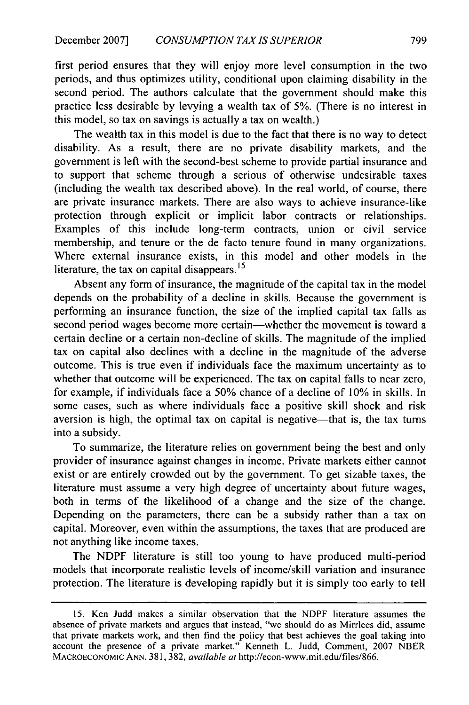first period ensures that they will enjoy more level consumption in the two periods, and thus optimizes utility, conditional upon claiming disability in the second period. The authors calculate that the government should make this practice less desirable by levying a wealth tax of 5%. (There is no interest in this model, so tax on savings is actually a tax on wealth.)

The wealth tax in this model is due to the fact that there is no way to detect disability. As a result, there are no private disability markets, and the government is left with the second-best scheme to provide partial insurance and to support that scheme through a serious of otherwise undesirable taxes (including the wealth tax described above). In the real world, of course, there are private insurance markets. There are also ways to achieve insurance-like protection through explicit or implicit labor contracts or relationships. Examples of this include long-term contracts, union or civil service membership, and tenure or the de facto tenure found in many organizations. Where external insurance exists, in this model and other models in the literature, the tax on capital disappears. **15**

Absent any form of insurance, the magnitude of the capital tax in the model depends on the probability of a decline in skills. Because the government is performing an insurance function, the size of the implied capital tax falls as second period wages become more certain—whether the movement is toward a certain decline or a certain non-decline of skills. The magnitude of the implied tax on capital also declines with a decline in the magnitude of the adverse outcome. This is true even if individuals face the maximum uncertainty as to whether that outcome will be experienced. The tax on capital falls to near zero, for example, if individuals face a 50% chance of a decline of 10% in skills. In some cases, such as where individuals face a positive skill shock and risk aversion is high, the optimal tax on capital is negative—that is, the tax turns into a subsidy.

To summarize, the literature relies on government being the best and only provider of insurance against changes in income. Private markets either cannot exist or are entirely crowded out by the government. To get sizable taxes, the literature must assume a very high degree of uncertainty about future wages, both in terms of the likelihood of a change and the size of the change. Depending on the parameters, there can be a subsidy rather than a tax on capital. Moreover, even within the assumptions, the taxes that are produced are not anything like income taxes.

The NDPF literature is still too young to have produced multi-period models that incorporate realistic levels of income/skill variation and insurance protection. The literature is developing rapidly but it is simply too early to tell

<sup>15.</sup> Ken Judd makes a similar observation that the NDPF literature assumes the absence of private markets and argues that instead, "we should do as Mirrlees did, assume that private markets work, and then find the policy that best achieves the goal taking into account the presence of a private market." Kenneth L. Judd, Comment, 2007 NBER MACROECONOMIC **ANN.** 381, 382, *available at* http://econ-www.mit.edu/files/866.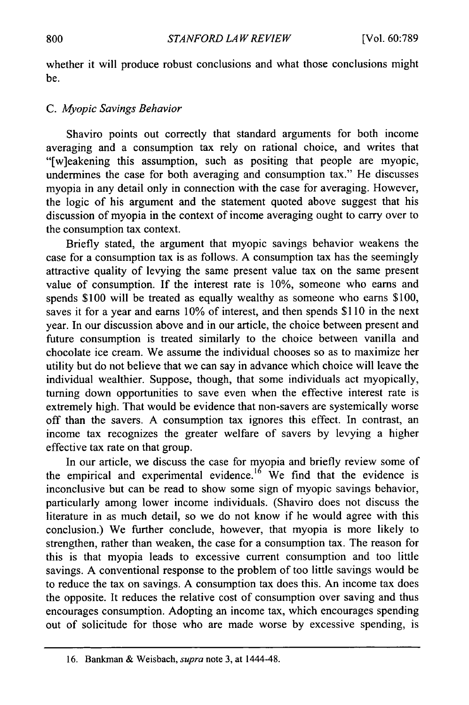whether it will produce robust conclusions and what those conclusions might be.

#### *C. Myopic Savings Behavior*

Shaviro points out correctly that standard arguments for both income averaging and a consumption tax rely on rational choice, and writes that "[w]eakening this assumption, such as positing that people are myopic, undermines the case for both averaging and consumption tax." He discusses myopia in any detail only in connection with the case for averaging. However, the logic of his argument and the statement quoted above suggest that his discussion of myopia in the context of income averaging ought to carry over to the consumption tax context.

Briefly stated, the argument that myopic savings behavior weakens the case for a consumption tax is as follows. A consumption tax has the seemingly attractive quality of levying the same present value tax on the same present value of consumption. If the interest rate is 10%, someone who earns and spends \$100 will be treated as equally wealthy as someone who earns \$100, saves it for a year and earns 10% of interest, and then spends \$110 in the next year. In our discussion above and in our article, the choice between present and future consumption is treated similarly to the choice between vanilla and chocolate ice cream. We assume the individual chooses so as to maximize her utility but do not believe that we can say in advance which choice will leave the individual wealthier. Suppose, though, that some individuals act myopically, turning down opportunities to save even when the effective interest rate is extremely high. That would be evidence that non-savers are systemically worse off than the savers. A consumption tax ignores this effect. In contrast, an income tax recognizes the greater welfare of savers by levying a higher effective tax rate on that group.

In our article, we discuss the case for myopia and briefly review some of the empirical and experimental evidence.<sup>16</sup> We find that the evidence is inconclusive but can be read to show some sign of myopic savings behavior, particularly among lower income individuals. (Shaviro does not discuss the literature in as much detail, so we do not know if he would agree with this conclusion.) We further conclude, however, that myopia is more likely to strengthen, rather than weaken, the case for a consumption tax. The reason for this is that myopia leads to excessive current consumption and too little savings. A conventional response to the problem of too little savings would be to reduce the tax on savings. A consumption tax does this. An income tax does the opposite. It reduces the relative cost of consumption over saving and thus encourages consumption. Adopting an income tax, which encourages spending out of solicitude for those who are made worse by excessive spending, is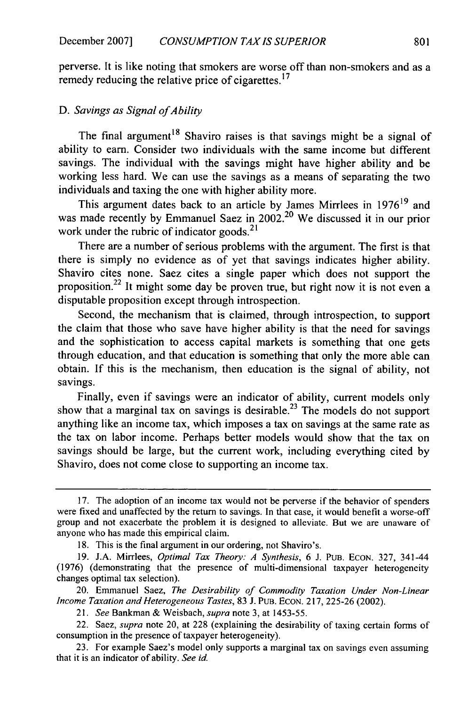perverse. It is like noting that smokers are worse off than non-smokers and as a remedy reducing the relative price of cigarettes.<sup>17</sup>

#### D. Savings as Signal of Ability

The final argument<sup>18</sup> Shaviro raises is that savings might be a signal of ability to earn. Consider two individuals with the same income but different savings. The individual with the savings might have higher ability and be working less hard. We can use the savings as a means of separating the two individuals and taxing the one with higher ability more.

This argument dates back to an article by James Mirrlees in  $1976<sup>19</sup>$  and was made recently by Emmanuel Saez in 2002.<sup>20</sup> We discussed it in our prior work under the rubric of indicator goods. $21$ 

There are a number of serious problems with the argument. The first is that there is simply no evidence as of yet that savings indicates higher ability. Shaviro cites none. Saez cites a single paper which does not support the proposition.<sup>22</sup> It might some day be proven true, but right now it is not even a disputable proposition except through introspection.

Second, the mechanism that is claimed, through introspection, to support the claim that those who save have higher ability is that the need for savings and the sophistication to access capital markets is something that one gets through education, and that education is something that only the more able can obtain. If this is the mechanism, then education is the signal of ability, not savings.

Finally, even if savings were an indicator of ability, current models only show that a marginal tax on savings is desirable.<sup>23</sup> The models do not support anything like an income tax, which imposes a tax on savings at the same rate as the tax on labor income. Perhaps better models would show that the tax on savings should be large, but the current work, including everything cited by Shaviro, does not come close to supporting an income tax.

<sup>17.</sup> The adoption of an income tax would not be perverse if the behavior of spenders were fixed and unaffected by the return to savings. In that case, it would benefit a worse-off group and not exacerbate the problem it is designed to alleviate. But we are unaware of anyone who has made this empirical claim.

<sup>18.</sup> This is the final argument in our ordering, not Shaviro's.

<sup>19.</sup> J.A. Mirrlees, *Optimal Tax Theory: A Synthesis,* 6 J. PUB. EcON. 327, 341-44 (1976) (demonstrating that the presence of multi-dimensional taxpayer heterogeneity changes optimal tax selection).

<sup>20.</sup> Emmanuel Saez, *The Desirability of Commodity Taxation Under Non-Linear Income Taxation and Heterogeneous Tastes,* 83 **J.** PUB. ECON. 217, 225-26 (2002).

<sup>21.</sup> *See* Bankman & Weisbach, *supra* note 3, at 1453-55.

<sup>22.</sup> Saez, *supra* note 20, at 228 (explaining the desirability of taxing certain forms of consumption in the presence of taxpayer heterogeneity).

<sup>23.</sup> For example Saez's model only supports a marginal tax on savings even assuming that it is an indicator of ability. *See id*